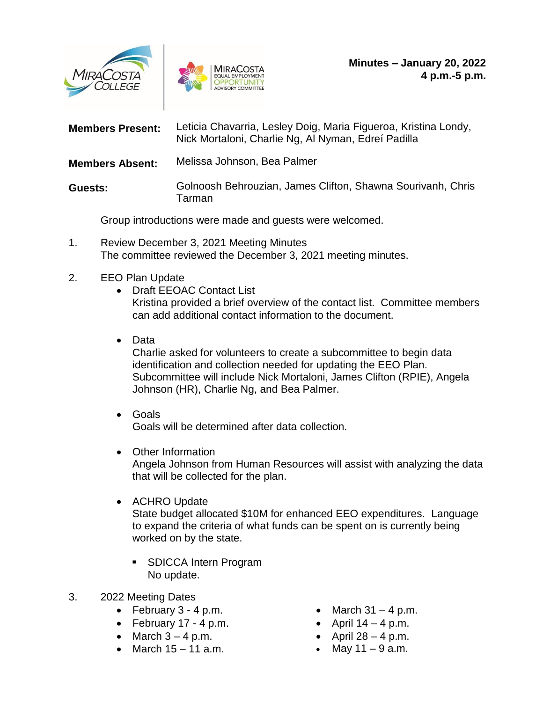



| <b>Members Present:</b> | Leticia Chavarria, Lesley Doig, Maria Figueroa, Kristina Londy,<br>Nick Mortaloni, Charlie Ng, Al Nyman, Edreí Padilla |
|-------------------------|------------------------------------------------------------------------------------------------------------------------|
| <b>Members Absent:</b>  | Melissa Johnson, Bea Palmer                                                                                            |
| Guests:                 | Golnoosh Behrouzian, James Clifton, Shawna Sourivanh, Chris<br>Tarman                                                  |

Group introductions were made and guests were welcomed.

1. Review December 3, 2021 Meeting Minutes The committee reviewed the December 3, 2021 meeting minutes.

## 2. EEO Plan Update

- Draft EEOAC Contact List Kristina provided a brief overview of the contact list. Committee members can add additional contact information to the document.
- Data

Charlie asked for volunteers to create a subcommittee to begin data identification and collection needed for updating the EEO Plan. Subcommittee will include Nick Mortaloni, James Clifton (RPIE), Angela Johnson (HR), Charlie Ng, and Bea Palmer.

- Goals Goals will be determined after data collection.
- Other Information Angela Johnson from Human Resources will assist with analyzing the data that will be collected for the plan.
- ACHRO Update

State budget allocated \$10M for enhanced EEO expenditures. Language to expand the criteria of what funds can be spent on is currently being worked on by the state.

- **SDICCA Intern Program** No update.
- 3. 2022 Meeting Dates
	- $\bullet$  February 3 4 p.m.
	- February  $17 4$  p.m.
	- $\bullet$  March  $3 4$  p.m.
	- $\bullet$  March 15 11 a.m.
- $\bullet$  March 31 4 p.m.
- April  $14 4$  p.m.
- $\bullet$  April 28 4 p.m.
- May  $11 9$  a.m.